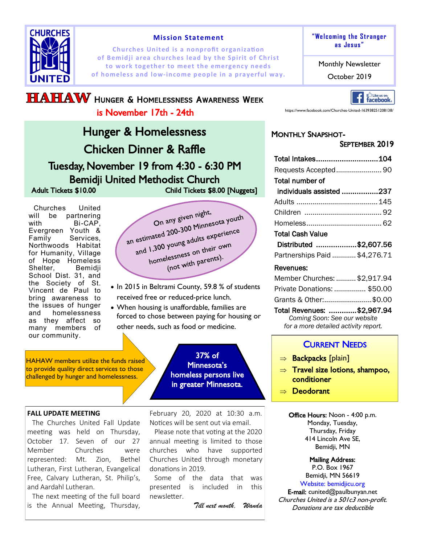

#### **Mission Statement**

**Churches United is a nonprofit organization of Bemidji area churches lead by the Spirit of Christ to work together to meet the emergency needs of homeless and low-income people in a prayerful way. The October 2019** 

# **HAHAW** HUNGER & HOMELESSNESS AWARENESS WEEK is November 17th - 24th

Hunger & Homelessness Chicken Dinner & Raffle Tuesday, November 19 from 4:30 - 6:30 PM Bemidji United Methodist Church Adult Tickets \$10.00 Child Tickets \$8.00 [Nuggets]

Churches United will be partnering with Bi-CAP. Evergreen Youth & Family Services, Northwoods Habitat for Humanity, Village of Hope Homeless Shelter, Bemidji School Dist. 31, and the Society of St. Vincent de Paul to bring awareness to the issues of hunger and homelessness as they affect so many members of our community.

On any given night, On any given night,<br>an estimated 200-300 Minnesota youth<br>an estimated 200-300 Minnesota youth estimated 200-300 Minnesour<br>and 1,300 young adults experience 1,300 young adults on<br>homelessness on their own<br>homelessness on their own lessness on c...<br>(not with parents).

- In 2015 in Beltrami County, 59.8 % of students received free or reduced-price lunch.
- When housing is unaffordable, families are forced to chose between paying for housing or other needs, such as food or medicine.

HAHAW members utilize the funds raised to provide quality direct services to those challenged by hunger and homelessness.

#### **FALL UPDATE MEETING**

The Churches United Fall Update meeting was held on Thursday, October 17. Seven of our 27 Member Churches were represented: Mt. Zion, Bethel Lutheran, First Lutheran, Evangelical Free, Calvary Lutheran, St. Philip's, and Aardahl Lutheran.

The next meeting of the full board is the Annual Meeting, Thursday,

February 20, 2020 at 10:30 a.m. Notices will be sent out via email.

37% of Minnesota's homeless persons live in greater Minnesota.

Please note that voting at the 2020 annual meeting is limited to those churches who have supported Churches United through monetary donations in 2019.

Some of the data that was presented is included in this newsletter.

*Till next month, Wanda*

#### **"We lcoming t he St ranger as Jes us "**

Monthly Newsletter



https://www.facebook.com/Churches-United-163938251208138/

# MONTHLY SNAPSHOT-

### SEPTEMBER 2019

| Total Intakes104              |  |
|-------------------------------|--|
|                               |  |
| <b>Total number of</b>        |  |
| individuals assisted 237      |  |
|                               |  |
|                               |  |
|                               |  |
| Total Cash Value              |  |
| Distributed \$2,607.56        |  |
| Partnerships Paid  \$4,276.71 |  |

#### Revenues:

| Member Churches:  \$2,917.94         |  |  |  |  |
|--------------------------------------|--|--|--|--|
| Private Donations:  \$50.00          |  |  |  |  |
| Grants & Other:\$0.00                |  |  |  |  |
| Total Revenues: \$2,967.94           |  |  |  |  |
| Coming Soon: See our website         |  |  |  |  |
| for a more detailed activity report. |  |  |  |  |

### CURRENT NEEDS

- $\Rightarrow$  Backpacks [plain]
- $\Rightarrow$  Travel size lotions, shampoo, conditioner
- $\Rightarrow$  Deodorant

Office Hours: Noon - 4:00 p.m. Monday, Tuesday, Thursday, Friday 414 Lincoln Ave SE, Bemidji, MN

> Mailing Address: P.O. Box 1967 Bemidji, MN 56619

Website: bemidjicu.org E-mail: cunited@paulbunyan.net Churches United is a 501c3 non-profit. Donations are tax deductible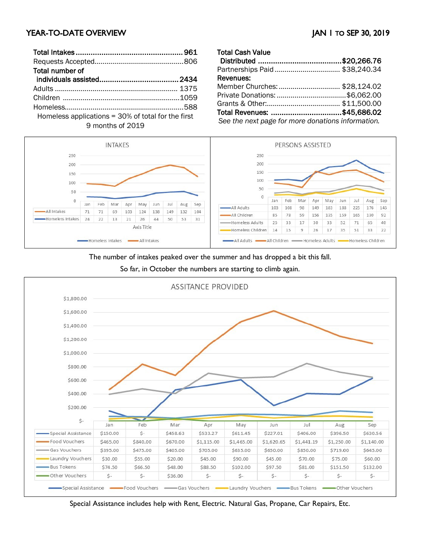# YEAR-TO-DATE OVERVIEW JAN 1 TO SEP 30, 2019

| Total number of                                      |  |
|------------------------------------------------------|--|
|                                                      |  |
|                                                      |  |
|                                                      |  |
|                                                      |  |
| Homeless applications $=$ 30% of total for the first |  |

9 months of 2019

| <b>Total Cash Value</b>                           |  |
|---------------------------------------------------|--|
|                                                   |  |
| Partnerships Paid  \$38,240.34                    |  |
| Revenues:                                         |  |
| Member Churches:  \$28,124.02                     |  |
|                                                   |  |
|                                                   |  |
| Total Revenues: \$45,686.02                       |  |
| See the next page for more donations information. |  |



The number of intakes peaked over the summer and has dropped a bit this fall.

So far, in October the numbers are starting to climb again.



Special Assistance includes help with Rent, Electric. Natural Gas, Propane, Car Repairs, Etc.